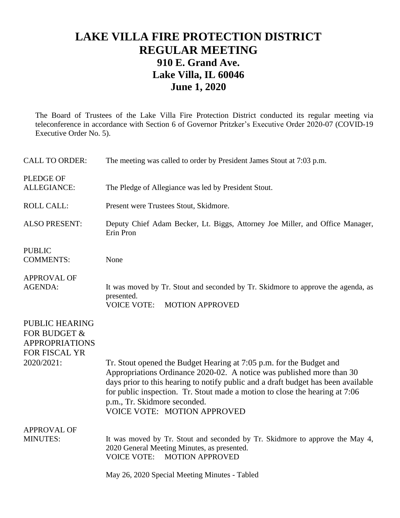## **LAKE VILLA FIRE PROTECTION DISTRICT REGULAR MEETING 910 E. Grand Ave. Lake Villa, IL 60046 June 1, 2020**

The Board of Trustees of the Lake Villa Fire Protection District conducted its regular meeting via teleconference in accordance with Section 6 of Governor Pritzker's Executive Order 2020-07 (COVID-19 Executive Order No. 5).

| <b>CALL TO ORDER:</b>                                                                         | The meeting was called to order by President James Stout at 7:03 p.m.                                                                                                                                                                                                                                                                                                                  |
|-----------------------------------------------------------------------------------------------|----------------------------------------------------------------------------------------------------------------------------------------------------------------------------------------------------------------------------------------------------------------------------------------------------------------------------------------------------------------------------------------|
| <b>PLEDGE OF</b><br><b>ALLEGIANCE:</b>                                                        | The Pledge of Allegiance was led by President Stout.                                                                                                                                                                                                                                                                                                                                   |
| <b>ROLL CALL:</b>                                                                             | Present were Trustees Stout, Skidmore.                                                                                                                                                                                                                                                                                                                                                 |
| <b>ALSO PRESENT:</b>                                                                          | Deputy Chief Adam Becker, Lt. Biggs, Attorney Joe Miller, and Office Manager,<br>Erin Pron                                                                                                                                                                                                                                                                                             |
| <b>PUBLIC</b><br><b>COMMENTS:</b>                                                             | None                                                                                                                                                                                                                                                                                                                                                                                   |
| <b>APPROVAL OF</b><br><b>AGENDA:</b>                                                          | It was moved by Tr. Stout and seconded by Tr. Skidmore to approve the agenda, as<br>presented.<br><b>VOICE VOTE:</b><br><b>MOTION APPROVED</b>                                                                                                                                                                                                                                         |
| <b>PUBLIC HEARING</b><br>FOR BUDGET &<br><b>APPROPRIATIONS</b><br>FOR FISCAL YR<br>2020/2021: | Tr. Stout opened the Budget Hearing at 7:05 p.m. for the Budget and<br>Appropriations Ordinance 2020-02. A notice was published more than 30<br>days prior to this hearing to notify public and a draft budget has been available<br>for public inspection. Tr. Stout made a motion to close the hearing at 7:06<br>p.m., Tr. Skidmore seconded.<br><b>VOICE VOTE: MOTION APPROVED</b> |
| <b>APPROVAL OF</b><br><b>MINUTES:</b>                                                         | It was moved by Tr. Stout and seconded by Tr. Skidmore to approve the May 4,<br>2020 General Meeting Minutes, as presented.<br><b>VOICE VOTE:</b><br><b>MOTION APPROVED</b>                                                                                                                                                                                                            |
|                                                                                               | May 26, 2020 Special Meeting Minutes - Tabled                                                                                                                                                                                                                                                                                                                                          |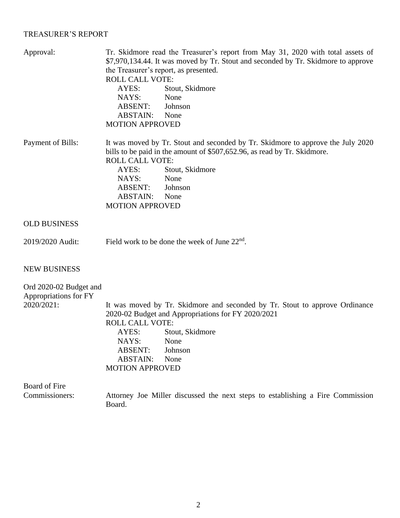## TREASURER'S REPORT

| Approval:              | Tr. Skidmore read the Treasurer's report from May 31, 2020 with total assets of<br>\$7,970,134.44. It was moved by Tr. Stout and seconded by Tr. Skidmore to approve<br>the Treasurer's report, as presented.<br><b>ROLL CALL VOTE:</b> |
|------------------------|-----------------------------------------------------------------------------------------------------------------------------------------------------------------------------------------------------------------------------------------|
|                        | Stout, Skidmore<br>AYES:                                                                                                                                                                                                                |
|                        | NAYS:<br>None                                                                                                                                                                                                                           |
|                        | ABSENT:<br>Johnson                                                                                                                                                                                                                      |
|                        | ABSTAIN:<br>None                                                                                                                                                                                                                        |
|                        | <b>MOTION APPROVED</b>                                                                                                                                                                                                                  |
| Payment of Bills:      | It was moved by Tr. Stout and seconded by Tr. Skidmore to approve the July 2020<br>bills to be paid in the amount of \$507,652.96, as read by Tr. Skidmore.<br><b>ROLL CALL VOTE:</b>                                                   |
|                        | Stout, Skidmore<br>AYES:                                                                                                                                                                                                                |
|                        | NAYS:<br>None                                                                                                                                                                                                                           |
|                        | ABSENT:<br>Johnson                                                                                                                                                                                                                      |
|                        | <b>ABSTAIN:</b><br>None                                                                                                                                                                                                                 |
|                        | <b>MOTION APPROVED</b>                                                                                                                                                                                                                  |
| <b>OLD BUSINESS</b>    |                                                                                                                                                                                                                                         |
| 2019/2020 Audit:       | Field work to be done the week of June $22nd$ .                                                                                                                                                                                         |
| <b>NEW BUSINESS</b>    |                                                                                                                                                                                                                                         |
| Ord 2020-02 Budget and |                                                                                                                                                                                                                                         |
| Appropriations for FY  |                                                                                                                                                                                                                                         |
| 2020/2021:             | It was moved by Tr. Skidmore and seconded by Tr. Stout to approve Ordinance                                                                                                                                                             |
|                        | 2020-02 Budget and Appropriations for FY 2020/2021                                                                                                                                                                                      |
|                        | <b>ROLL CALL VOTE:</b>                                                                                                                                                                                                                  |
|                        | Stout, Skidmore<br>AYES:                                                                                                                                                                                                                |
|                        | NAYS:<br>None                                                                                                                                                                                                                           |
|                        | <b>ABSENT:</b><br>Johnson                                                                                                                                                                                                               |
|                        | <b>ABSTAIN:</b><br>None                                                                                                                                                                                                                 |
|                        | <b>MOTION APPROVED</b>                                                                                                                                                                                                                  |
| Board of Fire          |                                                                                                                                                                                                                                         |
| Commissioners:         | Attorney Joe Miller discussed the next steps to establishing a Fire Commission<br>Board.                                                                                                                                                |

2